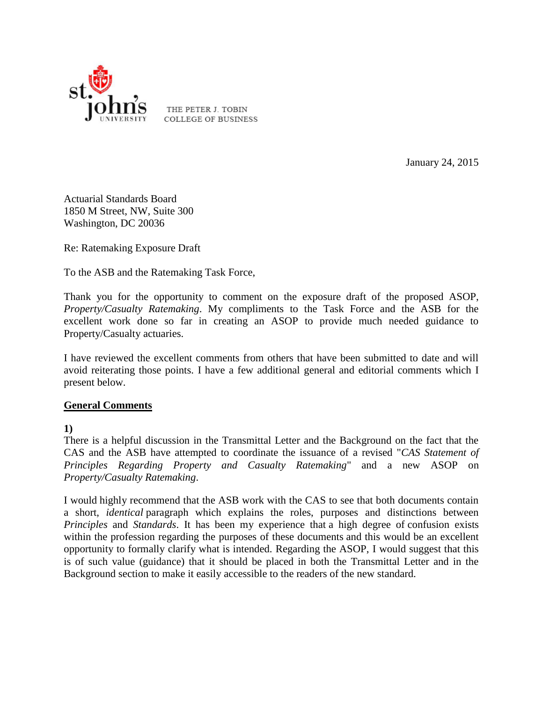

THE PETER J. TOBIN **COLLEGE OF BUSINESS** 

January 24, 2015

Actuarial Standards Board 1850 M Street, NW, Suite 300 Washington, DC 20036

Re: Ratemaking Exposure Draft

To the ASB and the Ratemaking Task Force,

Thank you for the opportunity to comment on the exposure draft of the proposed ASOP, *Property/Casualty Ratemaking*. My compliments to the Task Force and the ASB for the excellent work done so far in creating an ASOP to provide much needed guidance to Property/Casualty actuaries.

I have reviewed the excellent comments from others that have been submitted to date and will avoid reiterating those points. I have a few additional general and editorial comments which I present below.

## **General Comments**

**1)**

There is a helpful discussion in the Transmittal Letter and the Background on the fact that the CAS and the ASB have attempted to coordinate the issuance of a revised "*CAS Statement of Principles Regarding Property and Casualty Ratemaking*" and a new ASOP on *Property/Casualty Ratemaking*.

I would highly recommend that the ASB work with the CAS to see that both documents contain a short, *identical* paragraph which explains the roles, purposes and distinctions between *Principles* and *Standards*. It has been my experience that a high degree of confusion exists within the profession regarding the purposes of these documents and this would be an excellent opportunity to formally clarify what is intended. Regarding the ASOP, I would suggest that this is of such value (guidance) that it should be placed in both the Transmittal Letter and in the Background section to make it easily accessible to the readers of the new standard.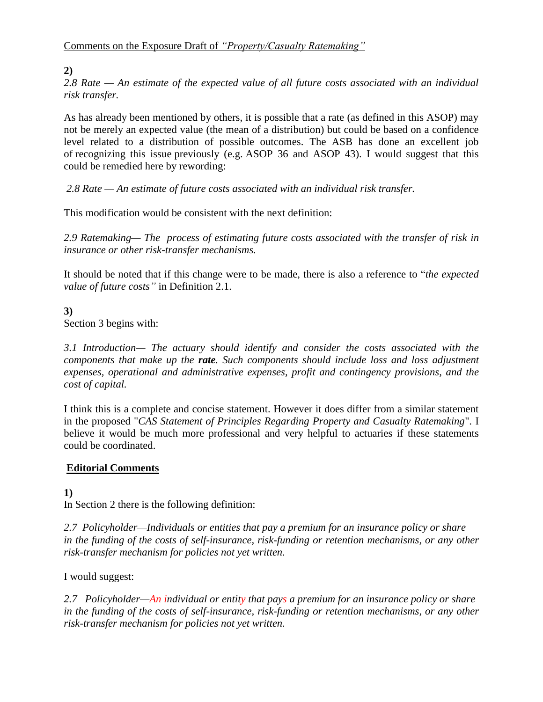## **2)**

*2.8 Rate — An estimate of the expected value of all future costs associated with an individual risk transfer.*

As has already been mentioned by others, it is possible that a rate (as defined in this ASOP) may not be merely an expected value (the mean of a distribution) but could be based on a confidence level related to a distribution of possible outcomes. The ASB has done an excellent job of recognizing this issue previously (e.g. ASOP 36 and ASOP 43). I would suggest that this could be remedied here by rewording:

*2.8 Rate — An estimate of future costs associated with an individual risk transfer.*

This modification would be consistent with the next definition:

*2.9 Ratemaking— The process of estimating future costs associated with the transfer of risk in insurance or other risk-transfer mechanisms.*

It should be noted that if this change were to be made, there is also a reference to "*the expected value of future costs"* in Definition 2.1.

## **3)**

Section 3 begins with:

*3.1 Introduction— The actuary should identify and consider the costs associated with the components that make up the rate. Such components should include loss and loss adjustment expenses, operational and administrative expenses, profit and contingency provisions, and the cost of capital.*

I think this is a complete and concise statement. However it does differ from a similar statement in the proposed "*CAS Statement of Principles Regarding Property and Casualty Ratemaking*". I believe it would be much more professional and very helpful to actuaries if these statements could be coordinated.

## **Editorial Comments**

**1)** In Section 2 there is the following definition:

*2.7 Policyholder—Individuals or entities that pay a premium for an insurance policy or share in the funding of the costs of self-insurance, risk-funding or retention mechanisms, or any other risk-transfer mechanism for policies not yet written.*

I would suggest:

*2.7 Policyholder—An individual or entity that pays a premium for an insurance policy or share in the funding of the costs of self-insurance, risk-funding or retention mechanisms, or any other risk-transfer mechanism for policies not yet written.*